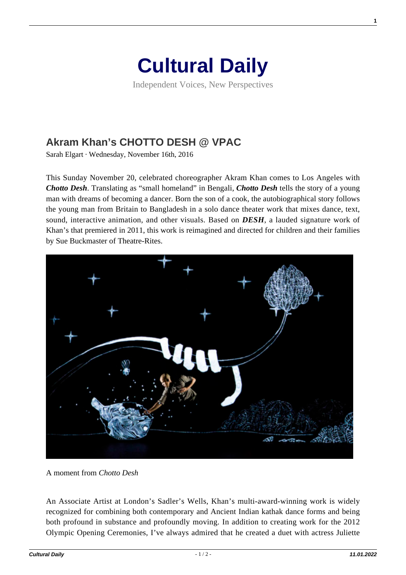## **[Cultural Daily](https://culturaldaily.com/)**

Independent Voices, New Perspectives

## **[Akram Khan's CHOTTO DESH @ VPAC](https://culturaldaily.com/akram-kahns-chotto-desh-2/)**

Sarah Elgart · Wednesday, November 16th, 2016

This Sunday November 20, celebrated choreographer Akram Khan comes to Los Angeles with *Chotto Desh*. Translating as "small homeland" in Bengali, *Chotto Desh* tells the story of a young man with dreams of becoming a dancer. Born the son of a cook, the autobiographical story follows the young man from Britain to Bangladesh in a solo dance theater work that mixes dance, text, sound, interactive animation, and other visuals. Based on *DESH*, a lauded signature work of Khan's that premiered in 2011, this work is reimagined and directed for children and their families by Sue Buckmaster of Theatre-Rites.



A moment from *Chotto Desh*

An Associate Artist at London's Sadler's Wells, Khan's multi-award-winning work is widely recognized for combining both contemporary and Ancient Indian kathak dance forms and being both profound in substance and profoundly moving. In addition to creating work for the 2012 Olympic Opening Ceremonies, I've always admired that he created a duet with actress Juliette

**1**